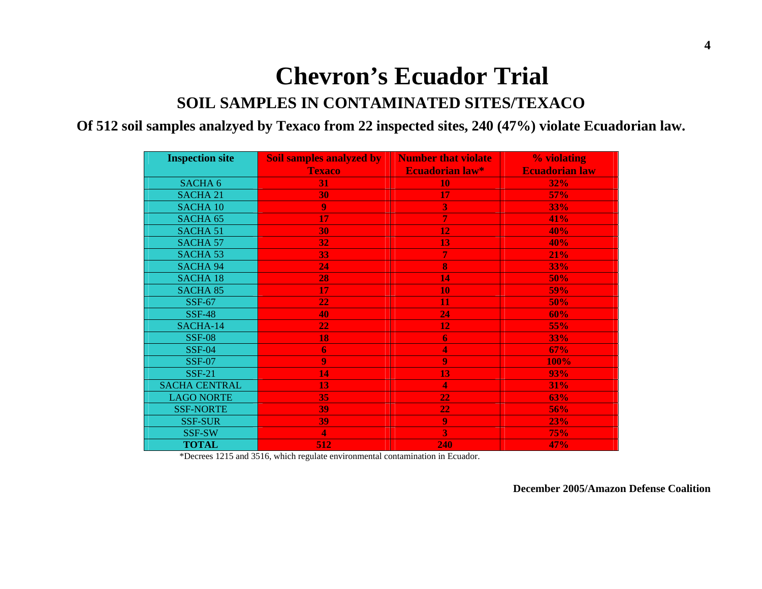# **Chevron's Ecuador Trial**

#### **SOIL SAMPLES IN CONTAMINATED SITES/TEXACO**

#### **Of 512 soil samples analzyed by Texaco from 22 inspected sites, 240 (47%) violate Ecuadorian law.**

| <b>Inspection site</b> | <b>Soil samples analyzed by</b> | <b>Number that violate</b> | % violating           |  |
|------------------------|---------------------------------|----------------------------|-----------------------|--|
|                        | <b>Texaco</b>                   | <b>Ecuadorian law*</b>     | <b>Ecuadorian law</b> |  |
| SACHA <sub>6</sub>     | 31                              | 10                         | 32%                   |  |
| <b>SACHA 21</b>        | 30                              | 17                         | 57%                   |  |
| <b>SACHA 10</b>        | 9                               | 3                          | 33%                   |  |
| SACHA <sub>65</sub>    | 17                              | 7                          | 41%                   |  |
| <b>SACHA 51</b>        | 30                              | 12                         | 40%                   |  |
| <b>SACHA 57</b>        | 32                              | 13                         | 40%                   |  |
| <b>SACHA 53</b>        | 33                              | 7                          | 21%                   |  |
| <b>SACHA 94</b>        | 24                              | 8                          | 33%                   |  |
| <b>SACHA 18</b>        | 28                              | 14                         | 50%                   |  |
| <b>SACHA 85</b>        | 17                              | 10                         | <b>59%</b>            |  |
| <b>SSF-67</b>          | 22                              | 11                         | 50%                   |  |
| <b>SSF-48</b>          | 40                              | 24                         | 60%                   |  |
| SACHA-14               | 22                              | 12                         | 55%                   |  |
| <b>SSF-08</b>          | 18                              | 6                          | 33%                   |  |
| <b>SSF-04</b>          | $\boldsymbol{6}$                | 4                          | 67%                   |  |
| <b>SSF-07</b>          | 9                               | 9                          | 100%                  |  |
| <b>SSF-21</b>          | 14                              | 13                         | 93%                   |  |
| <b>SACHA CENTRAL</b>   | 13                              | 4                          | <b>31%</b>            |  |
| <b>LAGO NORTE</b>      | 35                              | 22                         | 63%                   |  |
| <b>SSF-NORTE</b>       | 39                              | 22                         | 56%                   |  |
| <b>SSF-SUR</b>         | 39                              | 9                          | 23%                   |  |
| SSF-SW                 | $\overline{\mathbf{4}}$         | 3                          | <b>75%</b>            |  |
| <b>TOTAL</b>           | 512                             | 240                        | 47%                   |  |

\*Decrees 1215 and 3516, which regulate environmental contamination in Ecuador.

**December 2005/Amazon Defense Coalition**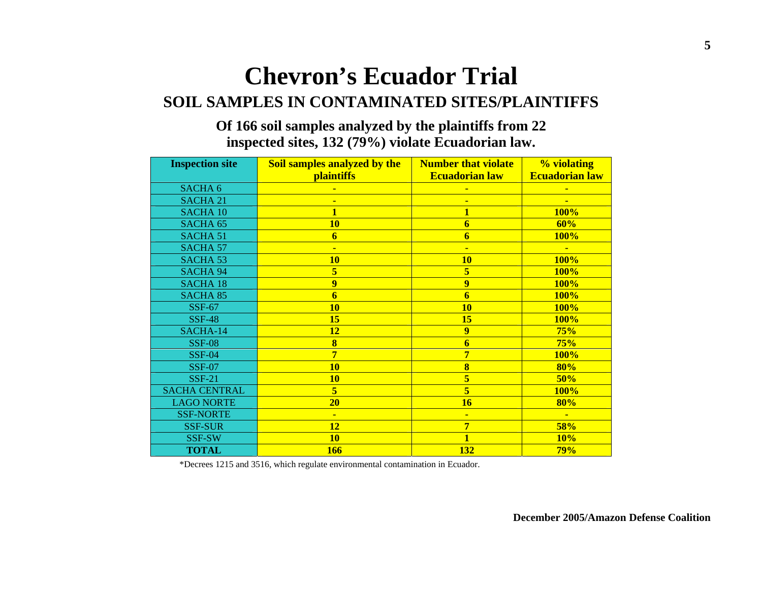### **Chevron's Ecuador Trial SOIL SAMPLES IN CONTAMINATED SITES/PLAINTIFFS**

#### **Of 166 soil samples analyzed by the plaintiffs from 22 inspected sites, 132 (79%) violate Ecuadorian law.**

| <b>Inspection site</b> | Soil samples analyzed by the<br><b>Number that violate</b> |                       | % violating           |
|------------------------|------------------------------------------------------------|-----------------------|-----------------------|
|                        | <b>plaintiffs</b>                                          | <b>Ecuadorian law</b> | <b>Ecuadorian law</b> |
| SACHA <sub>6</sub>     |                                                            |                       |                       |
| <b>SACHA 21</b>        |                                                            |                       |                       |
| <b>SACHA 10</b>        |                                                            |                       | 100%                  |
| SACHA <sub>65</sub>    | <b>10</b>                                                  | 6                     | 60%                   |
| <b>SACHA 51</b>        | 6                                                          | 6                     | <b>100%</b>           |
| <b>SACHA 57</b>        |                                                            | $\blacksquare$        | Ξ                     |
| SACHA <sub>53</sub>    | <b>10</b>                                                  | <b>10</b>             | 100%                  |
| <b>SACHA 94</b>        | 5                                                          | 5                     | <b>100%</b>           |
| <b>SACHA 18</b>        | 9                                                          | 9                     | <b>100%</b>           |
| <b>SACHA 85</b>        | 6                                                          | 6                     | <b>100%</b>           |
| <b>SSF-67</b>          | <b>10</b>                                                  | <b>10</b>             | <b>100%</b>           |
| <b>SSF-48</b>          | 15                                                         | 15                    | <b>100%</b>           |
| SACHA-14               | <b>12</b>                                                  | $\overline{9}$        | 75%                   |
| <b>SSF-08</b>          | 8                                                          | 6                     | 75%                   |
| $SSF-04$               | 7                                                          | 7                     | <b>100%</b>           |
| <b>SSF-07</b>          | <b>10</b>                                                  | 8                     | 80%                   |
| <b>SSF-21</b>          | <b>10</b>                                                  | 5                     | 50%                   |
| <b>SACHA CENTRAL</b>   | 5                                                          | 5                     | <b>100%</b>           |
| <b>LAGO NORTE</b>      | 20                                                         | 16                    | 80%                   |
| <b>SSF-NORTE</b>       | $\blacksquare$                                             | $\blacksquare$        | $\blacksquare$        |
| <b>SSF-SUR</b>         | 12                                                         | 7                     | 58%                   |
| SSF-SW                 | <b>10</b>                                                  |                       | 10%                   |
| <b>TOTAL</b>           | 166                                                        | <b>132</b>            | 79%                   |

\*Decrees 1215 and 3516, which regulate environmental contamination in Ecuador.